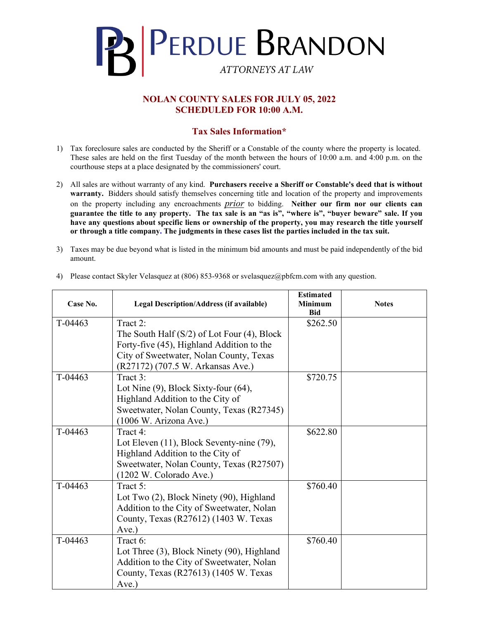

## **NOLAN COUNTY SALES FOR JULY 05, 2022 SCHEDULED FOR 10:00 A.M.**

## **Tax Sales Information\***

- 1) Tax foreclosure sales are conducted by the Sheriff or a Constable of the county where the property is located. These sales are held on the first Tuesday of the month between the hours of 10:00 a.m. and 4:00 p.m. on the courthouse steps at a place designated by the commissioners' court.
- 2) All sales are without warranty of any kind. **Purchasers receive a Sheriff or Constable's deed that is without warranty.** Bidders should satisfy themselves concerning title and location of the property and improvements on the property including any encroachments *prior* to bidding. **Neither our firm nor our clients can guarantee the title to any property. The tax sale is an "as is", "where is", "buyer beware" sale. If you have any questions about specific liens or ownership of the property, you may research the title yourself or through a title company. The judgments in these cases list the parties included in the tax suit.**
- 3) Taxes may be due beyond what is listed in the minimum bid amounts and must be paid independently of the bid amount.

| Case No. | Legal Description/Address (if available)         | <b>Estimated</b><br><b>Minimum</b><br><b>Bid</b> | <b>Notes</b> |
|----------|--------------------------------------------------|--------------------------------------------------|--------------|
| T-04463  | Tract 2:                                         | \$262.50                                         |              |
|          | The South Half $(S/2)$ of Lot Four $(4)$ , Block |                                                  |              |
|          | Forty-five (45), Highland Addition to the        |                                                  |              |
|          | City of Sweetwater, Nolan County, Texas          |                                                  |              |
|          | (R27172) (707.5 W. Arkansas Ave.)                |                                                  |              |
| T-04463  | Tract 3:                                         | \$720.75                                         |              |
|          | Lot Nine $(9)$ , Block Sixty-four $(64)$ ,       |                                                  |              |
|          | Highland Addition to the City of                 |                                                  |              |
|          | Sweetwater, Nolan County, Texas (R27345)         |                                                  |              |
|          | (1006 W. Arizona Ave.)                           |                                                  |              |
| T-04463  | Tract 4:                                         | \$622.80                                         |              |
|          | Lot Eleven (11), Block Seventy-nine (79),        |                                                  |              |
|          | Highland Addition to the City of                 |                                                  |              |
|          | Sweetwater, Nolan County, Texas (R27507)         |                                                  |              |
|          | (1202 W. Colorado Ave.)                          |                                                  |              |
| T-04463  | Tract 5:                                         | \$760.40                                         |              |
|          | Lot Two (2), Block Ninety (90), Highland         |                                                  |              |
|          | Addition to the City of Sweetwater, Nolan        |                                                  |              |
|          | County, Texas (R27612) (1403 W. Texas            |                                                  |              |
|          | Ave.)                                            |                                                  |              |
| T-04463  | Tract 6:                                         | \$760.40                                         |              |
|          | Lot Three (3), Block Ninety (90), Highland       |                                                  |              |
|          | Addition to the City of Sweetwater, Nolan        |                                                  |              |
|          | County, Texas (R27613) (1405 W. Texas            |                                                  |              |
|          | Ave.)                                            |                                                  |              |

4) Please contact Skyler Velasquez at (806) 853-9368 or svelasquez@pbfcm.com with any question.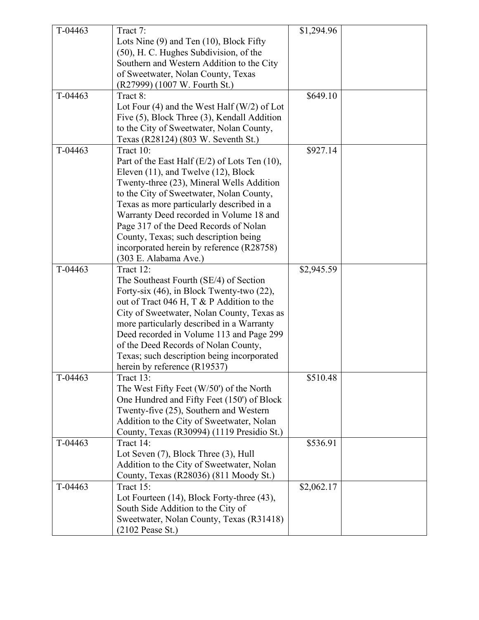| T-04463 | Tract 7:                                           | \$1,294.96 |  |
|---------|----------------------------------------------------|------------|--|
|         | Lots Nine (9) and Ten (10), Block Fifty            |            |  |
|         | (50), H. C. Hughes Subdivision, of the             |            |  |
|         | Southern and Western Addition to the City          |            |  |
|         | of Sweetwater, Nolan County, Texas                 |            |  |
|         | (R27999) (1007 W. Fourth St.)                      |            |  |
| T-04463 | Tract 8:                                           | \$649.10   |  |
|         | Lot Four $(4)$ and the West Half $(W/2)$ of Lot    |            |  |
|         | Five (5), Block Three (3), Kendall Addition        |            |  |
|         | to the City of Sweetwater, Nolan County,           |            |  |
|         | Texas (R28124) (803 W. Seventh St.)                |            |  |
| T-04463 | Tract 10:                                          | \$927.14   |  |
|         |                                                    |            |  |
|         | Part of the East Half $(E/2)$ of Lots Ten $(10)$ , |            |  |
|         | Eleven (11), and Twelve (12), Block                |            |  |
|         | Twenty-three (23), Mineral Wells Addition          |            |  |
|         | to the City of Sweetwater, Nolan County,           |            |  |
|         | Texas as more particularly described in a          |            |  |
|         | Warranty Deed recorded in Volume 18 and            |            |  |
|         | Page 317 of the Deed Records of Nolan              |            |  |
|         | County, Texas; such description being              |            |  |
|         | incorporated herein by reference (R28758)          |            |  |
|         | (303 E. Alabama Ave.)                              |            |  |
| T-04463 | Tract 12:                                          | \$2,945.59 |  |
|         | The Southeast Fourth (SE/4) of Section             |            |  |
|         | Forty-six (46), in Block Twenty-two (22),          |            |  |
|         | out of Tract 046 H, T & P Addition to the          |            |  |
|         | City of Sweetwater, Nolan County, Texas as         |            |  |
|         | more particularly described in a Warranty          |            |  |
|         | Deed recorded in Volume 113 and Page 299           |            |  |
|         | of the Deed Records of Nolan County,               |            |  |
|         | Texas; such description being incorporated         |            |  |
|         | herein by reference (R19537)                       |            |  |
| T-04463 | Tract 13:                                          | \$510.48   |  |
|         | The West Fifty Feet (W/50') of the North           |            |  |
|         | One Hundred and Fifty Feet (150') of Block         |            |  |
|         | Twenty-five (25), Southern and Western             |            |  |
|         | Addition to the City of Sweetwater, Nolan          |            |  |
|         | County, Texas (R30994) (1119 Presidio St.)         |            |  |
| T-04463 | Tract 14:                                          | \$536.91   |  |
|         | Lot Seven (7), Block Three (3), Hull               |            |  |
|         | Addition to the City of Sweetwater, Nolan          |            |  |
|         | County, Texas (R28036) (811 Moody St.)             |            |  |
| T-04463 | Tract 15:                                          | \$2,062.17 |  |
|         | Lot Fourteen (14), Block Forty-three (43),         |            |  |
|         | South Side Addition to the City of                 |            |  |
|         | Sweetwater, Nolan County, Texas (R31418)           |            |  |
|         | $(2102$ Pease St.)                                 |            |  |